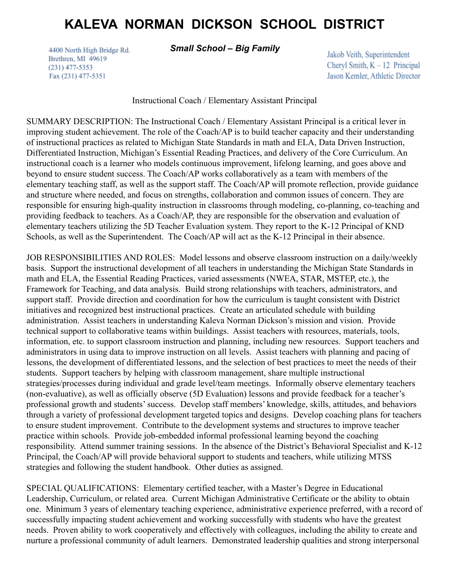## **KALEVA NORMAN DICKSON SCHOOL DISTRICT**

4400 North High Bridge Rd. Brethren, MI 49619  $(231)$  477-5353 Fax (231) 477-5351

## *Small School – Big Family*

Jakob Veith, Superintendent Cheryl Smith,  $K - 12$  Principal Jason Kemler, Athletic Director

Instructional Coach / Elementary Assistant Principal

SUMMARY DESCRIPTION: The Instructional Coach / Elementary Assistant Principal is a critical lever in improving student achievement. The role of the Coach/AP is to build teacher capacity and their understanding of instructional practices as related to Michigan State Standards in math and ELA, Data Driven Instruction, Differentiated Instruction, Michigan's Essential Reading Practices, and delivery of the Core Curriculum. An instructional coach is a learner who models continuous improvement, lifelong learning, and goes above and beyond to ensure student success. The Coach/AP works collaboratively as a team with members of the elementary teaching staff, as well as the support staff. The Coach/AP will promote reflection, provide guidance and structure where needed, and focus on strengths, collaboration and common issues of concern. They are responsible for ensuring high-quality instruction in classrooms through modeling, co-planning, co-teaching and providing feedback to teachers. As a Coach/AP, they are responsible for the observation and evaluation of elementary teachers utilizing the 5D Teacher Evaluation system. They report to the K-12 Principal of KND Schools, as well as the Superintendent. The Coach/AP will act as the K-12 Principal in their absence.

JOB RESPONSIBILITIES AND ROLES: Model lessons and observe classroom instruction on a daily/weekly basis. Support the instructional development of all teachers in understanding the Michigan State Standards in math and ELA, the Essential Reading Practices, varied assessments (NWEA, STAR, MSTEP, etc.), the Framework for Teaching, and data analysis. Build strong relationships with teachers, administrators, and support staff. Provide direction and coordination for how the curriculum is taught consistent with District initiatives and recognized best instructional practices. Create an articulated schedule with building administration. Assist teachers in understanding Kaleva Norman Dickson's mission and vision. Provide technical support to collaborative teams within buildings. Assist teachers with resources, materials, tools, information, etc. to support classroom instruction and planning, including new resources. Support teachers and administrators in using data to improve instruction on all levels. Assist teachers with planning and pacing of lessons, the development of differentiated lessons, and the selection of best practices to meet the needs of their students. Support teachers by helping with classroom management, share multiple instructional strategies/processes during individual and grade level/team meetings. Informally observe elementary teachers (non-evaluative), as well as officially observe (5D Evaluation) lessons and provide feedback for a teacher's professional growth and students' success. Develop staff members' knowledge, skills, attitudes, and behaviors through a variety of professional development targeted topics and designs. Develop coaching plans for teachers to ensure student improvement. Contribute to the development systems and structures to improve teacher practice within schools. Provide job-embedded informal professional learning beyond the coaching responsibility. Attend summer training sessions. In the absence of the District's Behavioral Specialist and K-12 Principal, the Coach/AP will provide behavioral support to students and teachers, while utilizing MTSS strategies and following the student handbook. Other duties as assigned.

SPECIAL QUALIFICATIONS: Elementary certified teacher, with a Master's Degree in Educational Leadership, Curriculum, or related area. Current Michigan Administrative Certificate or the ability to obtain one. Minimum 3 years of elementary teaching experience, administrative experience preferred, with a record of successfully impacting student achievement and working successfully with students who have the greatest needs. Proven ability to work cooperatively and effectively with colleagues, including the ability to create and nurture a professional community of adult learners. Demonstrated leadership qualities and strong interpersonal